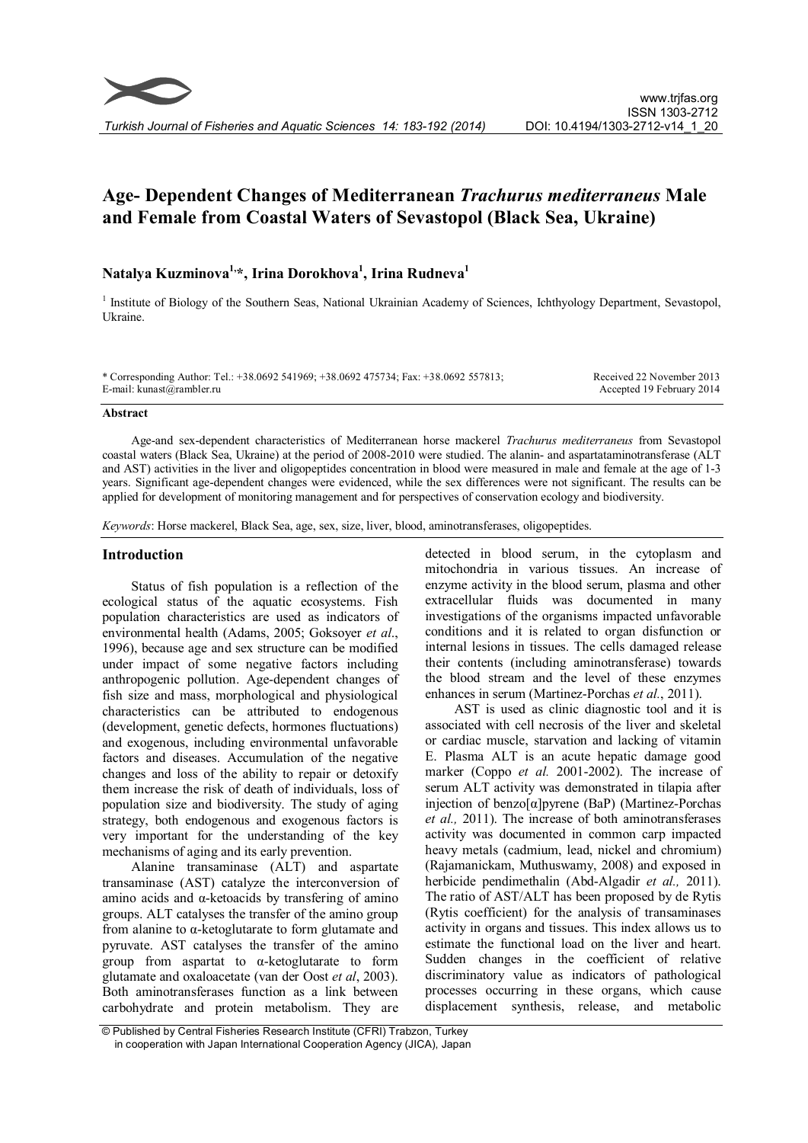# Age- Dependent Changes of Mediterranean Trachurus mediterraneus Male and Female from Coastal Waters of Sevastopol (Black Sea, Ukraine)

## Natalya Kuzminova<sup>1,</sup>\*, Irina Dorokhova<sup>1</sup>, Irina Rudneva<sup>1</sup>

<sup>1</sup> Institute of Biology of the Southern Seas, National Ukrainian Academy of Sciences, Ichthyology Department, Sevastopol, Ukraine.

\* Corresponding Author: Tel.: +38.0692 541969; +38.0692 475734; Fax: +38.0692 557813; E-mail: kunast@rambler.ru

Received 22 November 2013 Accepted 19 February 2014

#### Abstract

Age-and sex-dependent characteristics of Mediterranean horse mackerel Trachurus mediterraneus from Sevastopol coastal waters (Black Sea, Ukraine) at the period of 2008-2010 were studied. The alanin- and aspartataminotransferase (ALT and AST) activities in the liver and oligopeptides concentration in blood were measured in male and female at the age of 1-3 years. Significant age-dependent changes were evidenced, while the sex differences were not significant. The results can be applied for development of monitoring management and for perspectives of conservation ecology and biodiversity.

Keywords: Horse mackerel, Black Sea, age, sex, size, liver, blood, aminotransferases, oligopeptides.

## Introduction

Status of fish population is a reflection of the ecological status of the aquatic ecosystems. Fish population characteristics are used as indicators of environmental health (Adams, 2005; Goksoyer et al., 1996), because age and sex structure can be modified under impact of some negative factors including anthropogenic pollution. Age-dependent changes of fish size and mass, morphological and physiological characteristics can be attributed to endogenous (development, genetic defects, hormones fluctuations) and exogenous, including environmental unfavorable factors and diseases. Accumulation of the negative changes and loss of the ability to repair or detoxify them increase the risk of death of individuals, loss of population size and biodiversity. The study of aging strategy, both endogenous and exogenous factors is very important for the understanding of the key mechanisms of aging and its early prevention.

Alanine transaminase (ALT) and aspartate transaminase (AST) catalyze the interconversion of amino acids and α-ketoacids by transfering of amino groups. ALT catalyses the transfer of the amino group from alanine to α-ketoglutarate to form glutamate and pyruvate. AST catalyses the transfer of the amino group from aspartat to α-ketoglutarate to form glutamate and oxaloacetate (van der Oost et al, 2003). Both aminotransferases function as a link between carbohydrate and protein metabolism. They are

detected in blood serum, in the cytoplasm and mitochondria in various tissues. An increase of enzyme activity in the blood serum, plasma and other extracellular fluids was documented in many investigations of the organisms impacted unfavorable conditions and it is related to organ disfunction or internal lesions in tissues. The cells damaged release their contents (including aminotransferase) towards the blood stream and the level of these enzymes enhances in serum (Martinez-Porchas et al., 2011).

AST is used as clinic diagnostic tool and it is associated with cell necrosis of the liver and skeletal or cardiac muscle, starvation and lacking of vitamin E. Plasma ALT is an acute hepatic damage good marker (Coppo et al. 2001-2002). The increase of serum ALT activity was demonstrated in tilapia after injection of benzo $[\alpha]$ pyrene (BaP) (Martinez-Porchas et al., 2011). The increase of both aminotransferases activity was documented in common carp impacted heavy metals (cadmium, lead, nickel and chromium) (Rajamanickam, Muthuswamy, 2008) and exposed in herbicide pendimethalin (Abd-Algadir et al., 2011). The ratio of AST/ALT has been proposed by de Rytis (Rytis coefficient) for the analysis of transaminases activity in organs and tissues. This index allows us to estimate the functional load on the liver and heart. Sudden changes in the coefficient of relative discriminatory value as indicators of pathological processes occurring in these organs, which cause displacement synthesis, release, and metabolic

<sup>©</sup> Published by Central Fisheries Research Institute (CFRI) Trabzon, Turkey in cooperation with Japan International Cooperation Agency (JICA), Japan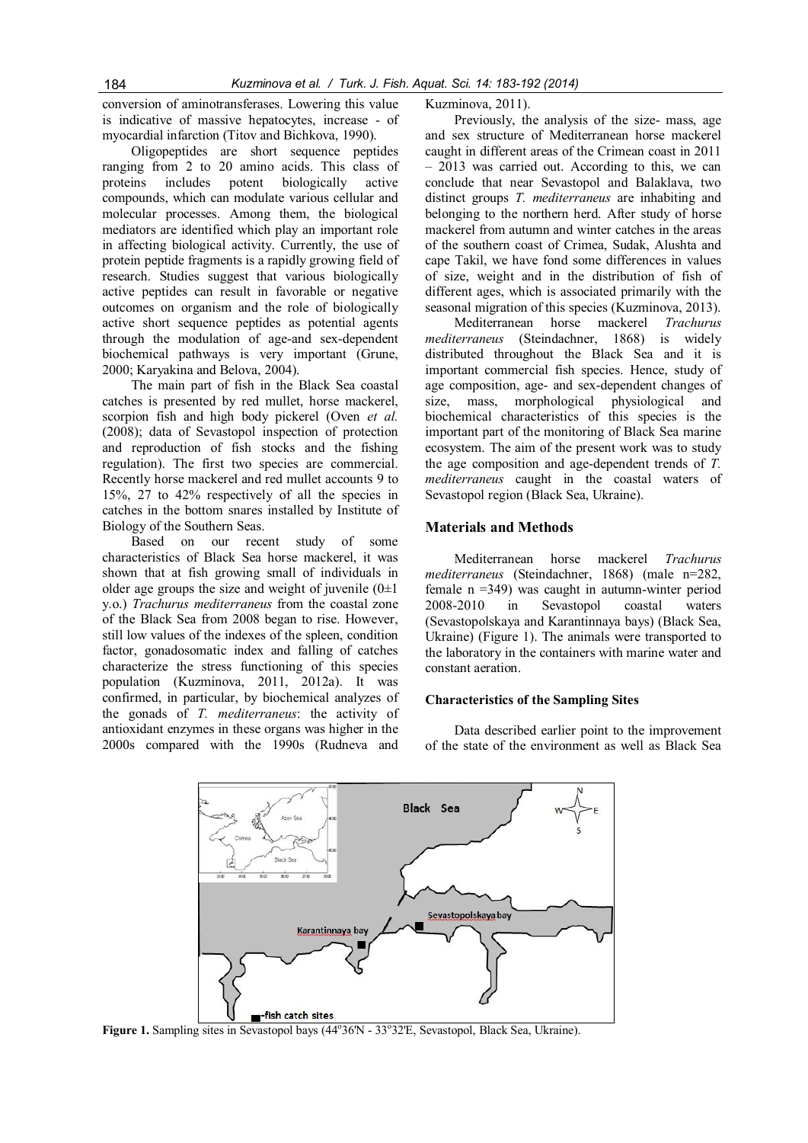conversion of aminotransferases. Lowering this value is indicative of massive hepatocytes, increase - of myocardial infarction (Titov and Bichkova, 1990).

Oligopeptides are short sequence peptides ranging from 2 to 20 amino acids. This class of proteins includes potent biologically active compounds, which can modulate various cellular and molecular processes. Among them, the biological mediators are identified which play an important role in affecting biological activity. Currently, the use of protein peptide fragments is a rapidly growing field of research. Studies suggest that various biologically active peptides can result in favorable or negative outcomes on organism and the role of biologically active short sequence peptides as potential agents through the modulation of age-and sex-dependent biochemical pathways is very important (Grune, 2000; Karyakina and Belova, 2004).

The main part of fish in the Black Sea coastal catches is presented by red mullet, horse mackerel, scorpion fish and high body pickerel (Oven et al. (2008); data of Sevastopol inspection of protection and reproduction of fish stocks and the fishing regulation). The first two species are commercial. Recently horse mackerel and red mullet accounts 9 to 15%, 27 to 42% respectively of all the species in catches in the bottom snares installed by Institute of Biology of the Southern Seas.

Based on our recent study of some characteristics of Black Sea horse mackerel, it was shown that at fish growing small of individuals in older age groups the size and weight of juvenile  $(0\pm 1)$ y.o.) Trachurus mediterraneus from the coastal zone of the Black Sea from 2008 began to rise. However, still low values of the indexes of the spleen, condition factor, gonadosomatic index and falling of catches characterize the stress functioning of this species population (Kuzminova, 2011, 2012a). It was confirmed, in particular, by biochemical analyzes of the gonads of T. mediterraneus: the activity of antioxidant enzymes in these organs was higher in the 2000s compared with the 1990s (Rudneva and

Kuzminova, 2011).

Previously, the analysis of the size- mass, age and sex structure of Mediterranean horse mackerel caught in different areas of the Crimean coast in 2011 – 2013 was carried out. According to this, we can conclude that near Sevastopol and Balaklava, two distinct groups T. mediterraneus are inhabiting and belonging to the northern herd. After study of horse mackerel from autumn and winter catches in the areas of the southern coast of Crimea, Sudak, Alushta and cape Takil, we have fond some differences in values of size, weight and in the distribution of fish of different ages, which is associated primarily with the seasonal migration of this species (Kuzminova, 2013).

Mediterranean horse mackerel Trachurus mediterraneus (Steindachner, 1868) is widely distributed throughout the Black Sea and it is important commercial fish species. Hence, study of age composition, age- and sex-dependent changes of size, mass, morphological physiological and biochemical characteristics of this species is the important part of the monitoring of Black Sea marine ecosystem. The aim of the present work was to study the age composition and age-dependent trends of T. mediterraneus caught in the coastal waters of Sevastopol region (Black Sea, Ukraine).

## Materials and Methods

Mediterranean horse mackerel Trachurus mediterraneus (Steindachner, 1868) (male n=282, female n =349) was caught in autumn-winter period 2008-2010 in Sevastopol coastal waters (Sevastopolskaya and Karantinnaya bays) (Black Sea, Ukraine) (Figure 1). The animals were transported to the laboratory in the containers with marine water and constant aeration.

## Characteristics of the Sampling Sites

Data described earlier point to the improvement of the state of the environment as well as Black Sea



Figure 1. Sampling sites in Sevastopol bays (44°36'N - 33°32'E, Sevastopol, Black Sea, Ukraine).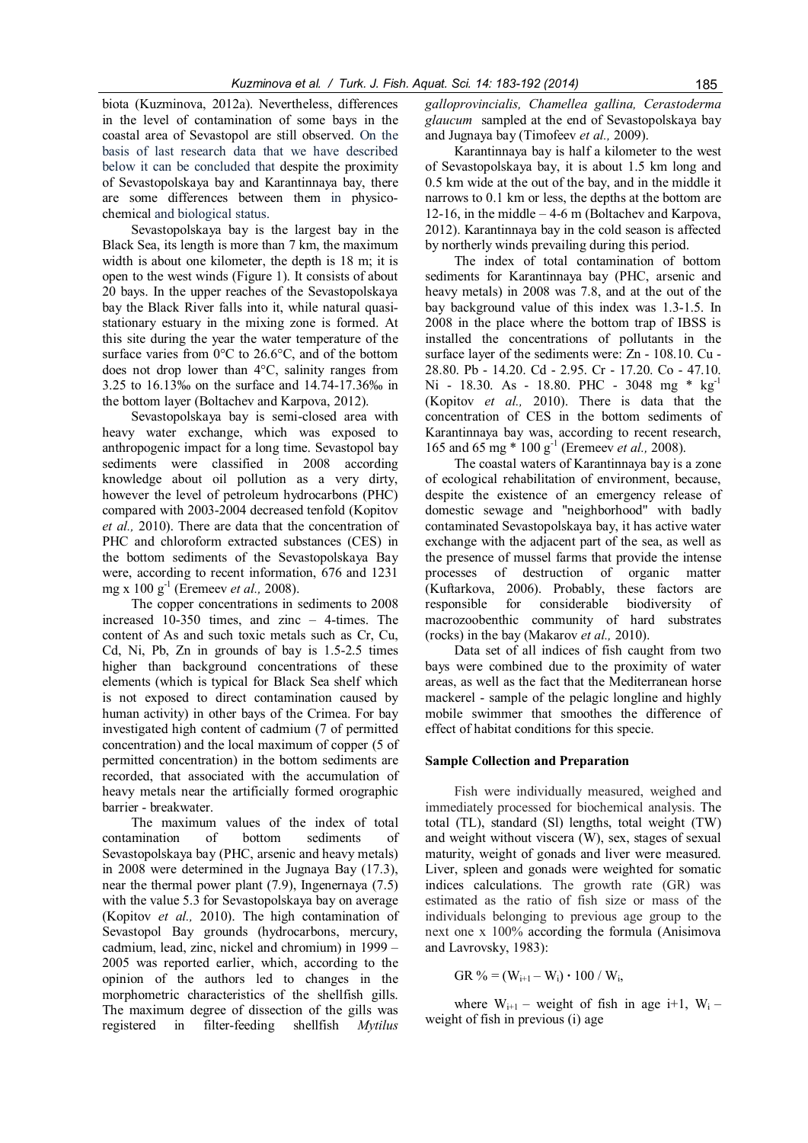biota (Kuzminova, 2012a). Nevertheless, differences in the level of contamination of some bays in the coastal area of Sevastopol are still observed. On the basis of last research data that we have described below it can be concluded that despite the proximity of Sevastopolskaya bay and Karantinnaya bay, there are some differences between them in physicochemical and biological status.

Sevastopolskaya bay is the largest bay in the Black Sea, its length is more than 7 km, the maximum width is about one kilometer, the depth is 18 m; it is open to the west winds (Figure 1). It consists of about 20 bays. In the upper reaches of the Sevastopolskaya bay the Black River falls into it, while natural quasistationary estuary in the mixing zone is formed. At this site during the year the water temperature of the surface varies from 0°C to 26.6°C, and of the bottom does not drop lower than 4°C, salinity ranges from 3.25 to 16.13‰ on the surface and 14.74-17.36‰ in the bottom layer (Boltachev and Karpova, 2012).

Sevastopolskaya bay is semi-closed area with heavy water exchange, which was exposed to anthropogenic impact for a long time. Sevastopol bay sediments were classified in 2008 according knowledge about oil pollution as a very dirty, however the level of petroleum hydrocarbons (PHC) compared with 2003-2004 decreased tenfold (Kopitov et al., 2010). There are data that the concentration of PHC and chloroform extracted substances (CES) in the bottom sediments of the Sevastopolskaya Bay were, according to recent information, 676 and 1231 mg x 100  $g^{-1}$  (Eremeev *et al.*, 2008).

The copper concentrations in sediments to 2008 increased 10-350 times, and zinc – 4-times. The content of As and such toxic metals such as Cr, Cu, Cd, Ni, Pb, Zn in grounds of bay is 1.5-2.5 times higher than background concentrations of these elements (which is typical for Black Sea shelf which is not exposed to direct contamination caused by human activity) in other bays of the Crimea. For bay investigated high content of cadmium (7 of permitted concentration) and the local maximum of copper (5 of permitted concentration) in the bottom sediments are recorded, that associated with the accumulation of heavy metals near the artificially formed orographic barrier - breakwater.

The maximum values of the index of total contamination of bottom sediments of Sevastopolskaya bay (PHC, arsenic and heavy metals) in 2008 were determined in the Jugnaya Bay (17.3), near the thermal power plant (7.9), Ingenernaya (7.5) with the value 5.3 for Sevastopolskaya bay on average (Kopitov et al., 2010). The high contamination of Sevastopol Bay grounds (hydrocarbons, mercury, cadmium, lead, zinc, nickel and chromium) in 1999 – 2005 was reported earlier, which, according to the opinion of the authors led to changes in the morphometric characteristics of the shellfish gills. The maximum degree of dissection of the gills was registered in filter-feeding shellfish Mytilus

galloprovincialis, Chamellea gallina, Cerastoderma glaucum sampled at the end of Sevastopolskaya bay and Jugnaya bay (Timofeev et al., 2009).

Karantinnaya bay is half a kilometer to the west of Sevastopolskaya bay, it is about 1.5 km long and 0.5 km wide at the out of the bay, and in the middle it narrows to 0.1 km or less, the depths at the bottom are 12-16, in the middle  $-4$ -6 m (Boltachev and Karpova, 2012). Karantinnaya bay in the cold season is affected by northerly winds prevailing during this period.

The index of total contamination of bottom sediments for Karantinnaya bay (PHC, arsenic and heavy metals) in 2008 was 7.8, and at the out of the bay background value of this index was 1.3-1.5. In 2008 in the place where the bottom trap of IBSS is installed the concentrations of pollutants in the surface layer of the sediments were: Zn - 108.10. Cu - 28.80. Pb - 14.20. Cd - 2.95. Cr - 17.20. Co - 47.10. Ni - 18.30. As - 18.80. PHC - 3048 mg \* kg<sup>-1</sup> (Kopitov et al., 2010). There is data that the concentration of CES in the bottom sediments of Karantinnaya bay was, according to recent research, 165 and 65 mg \* 100 g-1 (Eremeev et al., 2008).

The coastal waters of Karantinnaya bay is a zone of ecological rehabilitation of environment, because, despite the existence of an emergency release of domestic sewage and "neighborhood" with badly contaminated Sevastopolskaya bay, it has active water exchange with the adjacent part of the sea, as well as the presence of mussel farms that provide the intense processes of destruction of organic matter (Kuftarkova, 2006). Probably, these factors are responsible for considerable biodiversity of macrozoobenthic community of hard substrates (rocks) in the bay (Makarov et al., 2010).

Data set of all indices of fish caught from two bays were combined due to the proximity of water areas, as well as the fact that the Mediterranean horse mackerel - sample of the pelagic longline and highly mobile swimmer that smoothes the difference of effect of habitat conditions for this specie.

## Sample Collection and Preparation

Fish were individually measured, weighed and immediately processed for biochemical analysis. The total (TL), standard (Sl) lengths, total weight (TW) and weight without viscera (W), sex, stages of sexual maturity, weight of gonads and liver were measured. Liver, spleen and gonads were weighted for somatic indices calculations. The growth rate (GR) was estimated as the ratio of fish size or mass of the individuals belonging to previous age group to the next one x 100% according the formula (Anisimova and Lavrovsky, 1983):

$$
GR \, \% = (W_{i+1} - W_i) \cdot 100 / W_i,
$$

where  $W_{i+1}$  – weight of fish in age i+1,  $W_i$  – weight of fish in previous (i) age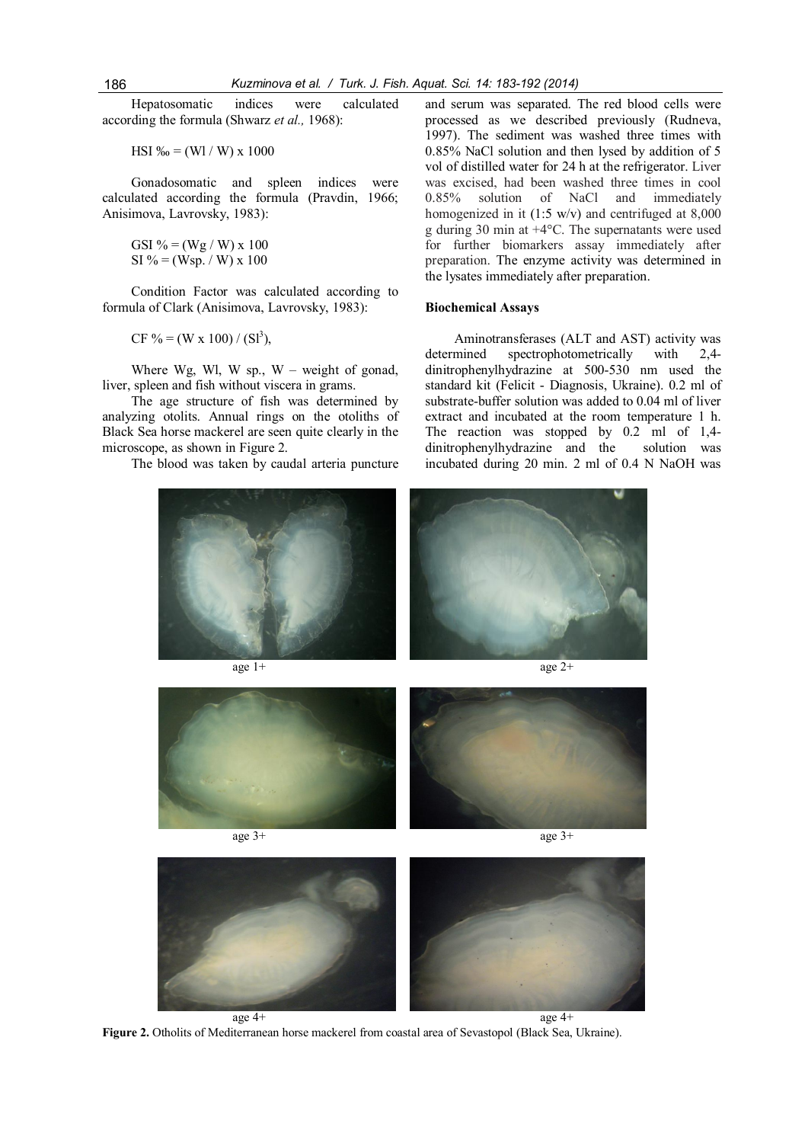Hepatosomatic indices were calculated according the formula (Shwarz et al., 1968):

HSI ‰ = (Wl / W) x 1000

Gonadosomatic and spleen indices were calculated according the formula (Pravdin, 1966; Anisimova, Lavrovsky, 1983):

GSI % =  $(Wg / W)$  x 100 SI % = (Wsp. / W) x 100

Condition Factor was calculated according to formula of Clark (Anisimova, Lavrovsky, 1983):

CF % = (W x 100) / (Sl<sup>3</sup>),

Where Wg, Wl, W sp.,  $W -$  weight of gonad, liver, spleen and fish without viscera in grams.

The age structure of fish was determined by analyzing otolits. Annual rings on the otoliths of Black Sea horse mackerel are seen quite clearly in the microscope, as shown in Figure 2.

The blood was taken by caudal arteria puncture

and serum was separated. The red blood cells were processed as we described previously (Rudneva, 1997). The sediment was washed three times with 0.85% NaCl solution and then lysed by addition of 5 vol of distilled water for 24 h at the refrigerator. Liver was excised, had been washed three times in cool<br>0.85% solution of NaCl and immediately solution of NaCl and immediately homogenized in it  $(1:5 \text{ w/v})$  and centrifuged at  $8,000$ g during 30 min at +4°C. The supernatants were used for further biomarkers assay immediately after preparation. The enzyme activity was determined in the lysates immediately after preparation.

#### Biochemical Assays

Aminotransferases (ALT and AST) activity was<br>determined spectrophotometrically with 2,4spectrophotometrically with  $2.4$ dinitrophenylhydrazine at 500-530 nm used the standard kit (Felicit - Diagnosis, Ukraine). 0.2 ml of substrate-buffer solution was added to 0.04 ml of liver extract and incubated at the room temperature 1 h. The reaction was stopped by 0.2 ml of 1,4 dinitrophenylhydrazine and the solution was incubated during 20 min. 2 ml of 0.4 N NaOH was











Figure 2. Otholits of Mediterranean horse mackerel from coastal area of Sevastopol (Black Sea, Ukraine).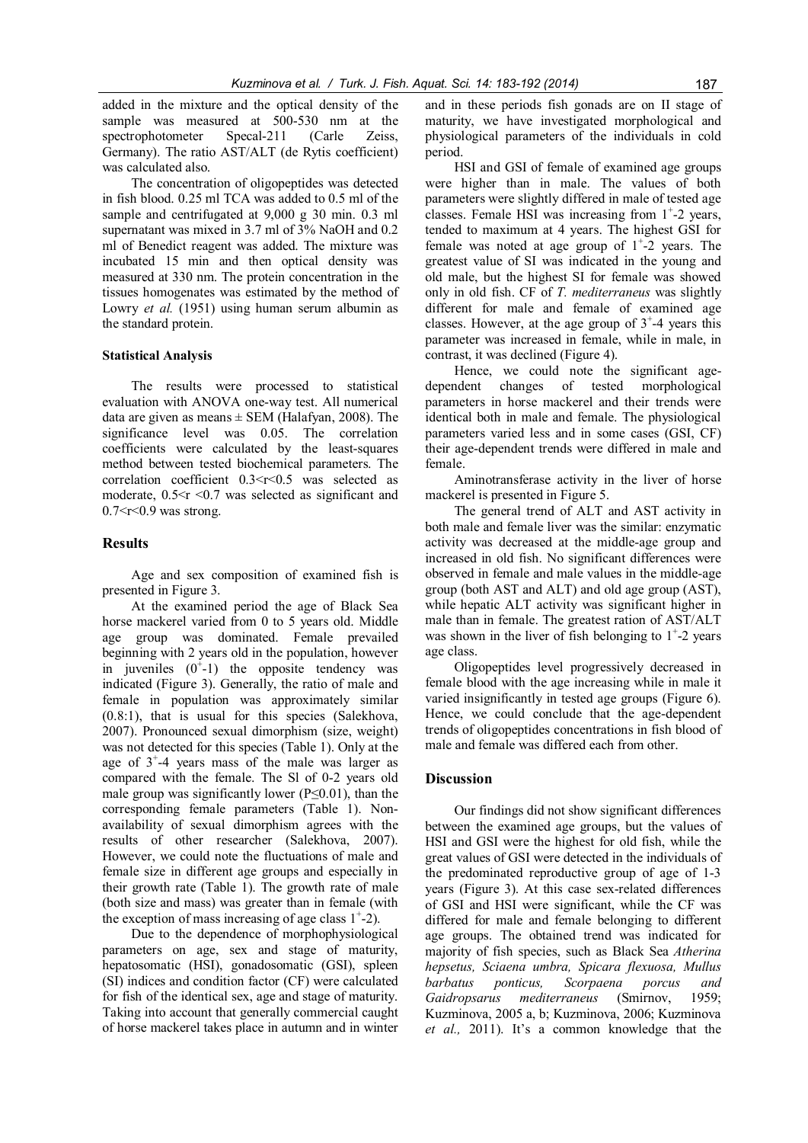added in the mixture and the optical density of the sample was measured at 500-530 nm at the spectrophotometer Specal-211 (Carle Zeiss, Germany). The ratio AST/ALT (de Rytis coefficient) was calculated also.

The concentration of oligopeptides was detected in fish blood. 0.25 ml TCA was added to 0.5 ml of the sample and centrifugated at 9,000 g 30 min. 0.3 ml supernatant was mixed in 3.7 ml of 3% NaOH and 0.2 ml of Benedict reagent was added. The mixture was incubated 15 min and then optical density was measured at 330 nm. The protein concentration in the tissues homogenates was estimated by the method of Lowry *et al.* (1951) using human serum albumin as the standard protein.

#### Statistical Analysis

The results were processed to statistical evaluation with ANOVA one-way test. All numerical data are given as means  $\pm$  SEM (Halafyan, 2008). The significance level was 0.05. The correlation coefficients were calculated by the least-squares method between tested biochemical parameters. The correlation coefficient  $0.3 < r < 0.5$  was selected as moderate,  $0.5 \le r \le 0.7$  was selected as significant and  $0.7 < r < 0.9$  was strong.

## **Results**

Age and sex composition of examined fish is presented in Figure 3.

At the examined period the age of Black Sea horse mackerel varied from 0 to 5 years old. Middle age group was dominated. Female prevailed beginning with 2 years old in the population, however in juveniles  $(0^{\dagger}-1)$  the opposite tendency was indicated (Figure 3). Generally, the ratio of male and female in population was approximately similar (0.8:1), that is usual for this species (Salekhova, 2007). Pronounced sexual dimorphism (size, weight) was not detected for this species (Table 1). Only at the age of  $3^{\text{+}} - 4$  years mass of the male was larger as compared with the female. The Sl of 0-2 years old male group was significantly lower ( $P \le 0.01$ ), than the corresponding female parameters (Table 1). Nonavailability of sexual dimorphism agrees with the results of other researcher (Salekhova, 2007). However, we could note the fluctuations of male and female size in different age groups and especially in their growth rate (Table 1). The growth rate of male (both size and mass) was greater than in female (with the exception of mass increasing of age class  $1^{\text{+}}$ -2).

Due to the dependence of morphophysiological parameters on age, sex and stage of maturity, hepatosomatic (HSI), gonadosomatic (GSI), spleen (SI) indices and condition factor (CF) were calculated for fish of the identical sex, age and stage of maturity. Taking into account that generally commercial caught of horse mackerel takes place in autumn and in winter

and in these periods fish gonads are on II stage of maturity, we have investigated morphological and physiological parameters of the individuals in cold period.

HSI and GSI of female of examined age groups were higher than in male. The values of both parameters were slightly differed in male of tested age classes. Female HSI was increasing from  $1^{\text{+}}$ -2 years, tended to maximum at 4 years. The highest GSI for female was noted at age group of  $1^+$ -2 years. The greatest value of SI was indicated in the young and old male, but the highest SI for female was showed only in old fish. CF of T. mediterraneus was slightly different for male and female of examined age classes. However, at the age group of  $3^{\text{-}}4$  years this parameter was increased in female, while in male, in contrast, it was declined (Figure 4).

Hence, we could note the significant agedependent changes of tested morphological parameters in horse mackerel and their trends were identical both in male and female. The physiological parameters varied less and in some cases (GSI, CF) their age-dependent trends were differed in male and female.

Aminotransferase activity in the liver of horse mackerel is presented in Figure 5.

The general trend of ALT and AST activity in both male and female liver was the similar: enzymatic activity was decreased at the middle-age group and increased in old fish. No significant differences were observed in female and male values in the middle-age group (both AST and ALT) and old age group (AST), while hepatic ALT activity was significant higher in male than in female. The greatest ration of AST/ALT was shown in the liver of fish belonging to  $1^{\text{-}}$ -2 years age class.

Oligopeptides level progressively decreased in female blood with the age increasing while in male it varied insignificantly in tested age groups (Figure 6). Hence, we could conclude that the age-dependent trends of oligopeptides concentrations in fish blood of male and female was differed each from other.

#### **Discussion**

Our findings did not show significant differences between the examined age groups, but the values of HSI and GSI were the highest for old fish, while the great values of GSI were detected in the individuals of the predominated reproductive group of age of 1-3 years (Figure 3). At this case sex-related differences of GSI and HSI were significant, while the CF was differed for male and female belonging to different age groups. The obtained trend was indicated for majority of fish species, such as Black Sea Atherina hepsetus, Sciaena umbra, Spicara flexuosa, Mullus barbatus ponticus, Scorpaena porcus and Gaidropsarus mediterraneus (Smirnov, 1959; Kuzminova, 2005 a, b; Kuzminova, 2006; Kuzminova et al., 2011). It's a common knowledge that the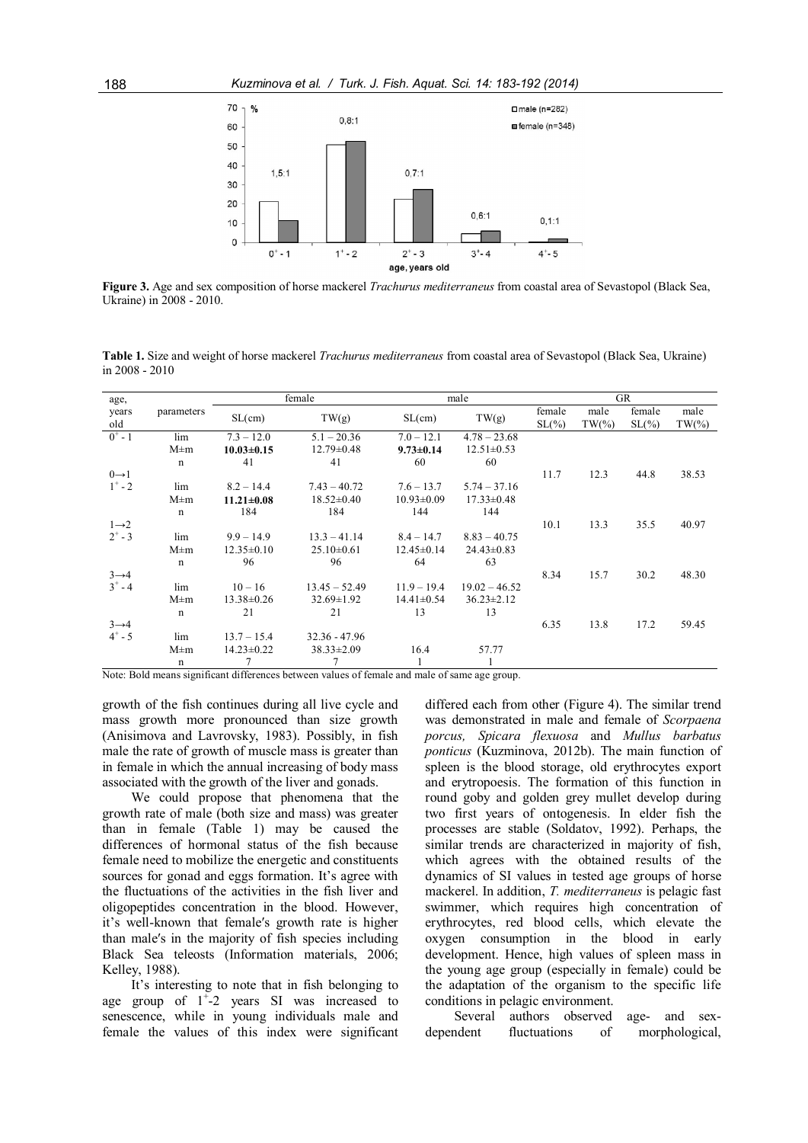

Figure 3. Age and sex composition of horse mackerel *Trachurus mediterraneus* from coastal area of Sevastopol (Black Sea, Ukraine) in 2008 - 2010.

Table 1. Size and weight of horse mackerel Trachurus mediterraneus from coastal area of Sevastopol (Black Sea, Ukraine) in 2008 - 2010

| age,              |              | female           |                  | male             |                  | <b>GR</b>          |                   |                    |                   |
|-------------------|--------------|------------------|------------------|------------------|------------------|--------------------|-------------------|--------------------|-------------------|
| years<br>old      | parameters   | SL(cm)           | TW(g)            | SL(cm)           | TW(g)            | female<br>$SL(\%)$ | male<br>$TW(\% )$ | female<br>$SL(\%)$ | male<br>$TW(\% )$ |
| $0^+ - 1$         | lim          | $7.3 - 12.0$     | $5.1 - 20.36$    | $7.0 - 12.1$     | $4.78 - 23.68$   |                    |                   |                    |                   |
|                   | $M \pm m$    | $10.03 \pm 0.15$ | $12.79 \pm 0.48$ | $9.73 \pm 0.14$  | $12.51 \pm 0.53$ |                    |                   |                    |                   |
|                   | $\mathbf n$  | 41               | 41               | 60               | 60               |                    |                   |                    |                   |
| $0 \rightarrow 1$ |              |                  |                  |                  |                  | 11.7               | 12.3              | 44.8               | 38.53             |
| $1^* - 2$         | lim          | $8.2 - 14.4$     | $7.43 - 40.72$   | $7.6 - 13.7$     | $5.74 - 37.16$   |                    |                   |                    |                   |
|                   | $M \pm m$    | $11.21 \pm 0.08$ | $18.52 \pm 0.40$ | $10.93 \pm 0.09$ | $17.33 \pm 0.48$ |                    |                   |                    |                   |
|                   | $\mathbf n$  | 184              | 184              | 144              | 144              |                    |                   |                    |                   |
| $1\rightarrow 2$  |              |                  |                  |                  |                  | 10.1               | 13.3              | 35.5               | 40.97             |
| $2^+ - 3$         | lim          | $9.9 - 14.9$     | $13.3 - 41.14$   | $8.4 - 14.7$     | $8.83 - 40.75$   |                    |                   |                    |                   |
|                   | $M \pm m$    | $12.35 \pm 0.10$ | $25.10\pm0.61$   | $12.45 \pm 0.14$ | $24.43 \pm 0.83$ |                    |                   |                    |                   |
|                   | $\mathsf{n}$ | 96               | 96               | 64               | 63               |                    |                   |                    |                   |
| $3 \rightarrow 4$ |              |                  |                  |                  |                  | 8.34               | 15.7              | 30.2               | 48.30             |
| $3^{+} - 4$       | lim          | $10 - 16$        | $13.45 - 52.49$  | $11.9 - 19.4$    | $19.02 - 46.52$  |                    |                   |                    |                   |
|                   | $M \pm m$    | $13.38 \pm 0.26$ | $32.69 \pm 1.92$ | $14.41 \pm 0.54$ | $36.23 \pm 2.12$ |                    |                   |                    |                   |
|                   | $\mathbf n$  | 21               | 21               | 13               | 13               |                    |                   |                    |                   |
| $3 \rightarrow 4$ |              |                  |                  |                  |                  | 6.35               | 13.8              | 17.2               | 59.45             |
| $4^{+} - 5$       | lim          | $13.7 - 15.4$    | $32.36 - 47.96$  |                  |                  |                    |                   |                    |                   |
|                   | $M \pm m$    | $14.23 \pm 0.22$ | $38.33 \pm 2.09$ | 16.4             | 57.77            |                    |                   |                    |                   |
|                   | n            |                  | 7                |                  |                  |                    |                   |                    |                   |

Note: Bold means significant differences between values of female and male of same age group.

growth of the fish continues during all live cycle and mass growth more pronounced than size growth (Anisimova and Lavrovsky, 1983). Possibly, in fish male the rate of growth of muscle mass is greater than in female in which the annual increasing of body mass associated with the growth of the liver and gonads.

We could propose that phenomena that the growth rate of male (both size and mass) was greater than in female (Table 1) may be caused the differences of hormonal status of the fish because female need to mobilize the energetic and constituents sources for gonad and eggs formation. It's agree with the fluctuations of the activities in the fish liver and oligopeptides concentration in the blood. However, it's well-known that femaleʹs growth rate is higher than maleʹs in the majority of fish species including Black Sea teleosts (Information materials, 2006; Kelley, 1988).

It's interesting to note that in fish belonging to age group of  $1^{\frac{1}{2}}$  years SI was increased to senescence, while in young individuals male and female the values of this index were significant

differed each from other (Figure 4). The similar trend was demonstrated in male and female of Scorpaena porcus, Spicara flexuosa and Mullus barbatus ponticus (Kuzminova, 2012b). The main function of spleen is the blood storage, old erythrocytes export and erytropoesis. The formation of this function in round goby and golden grey mullet develop during two first years of ontogenesis. In elder fish the processes are stable (Soldatov, 1992). Perhaps, the similar trends are characterized in majority of fish, which agrees with the obtained results of the dynamics of SI values in tested age groups of horse mackerel. In addition, T. mediterraneus is pelagic fast swimmer, which requires high concentration of erythrocytes, red blood cells, which elevate the oxygen consumption in the blood in early development. Hence, high values of spleen mass in the young age group (especially in female) could be the adaptation of the organism to the specific life conditions in pelagic environment.

Several authors observed age- and sexdependent fluctuations of morphological,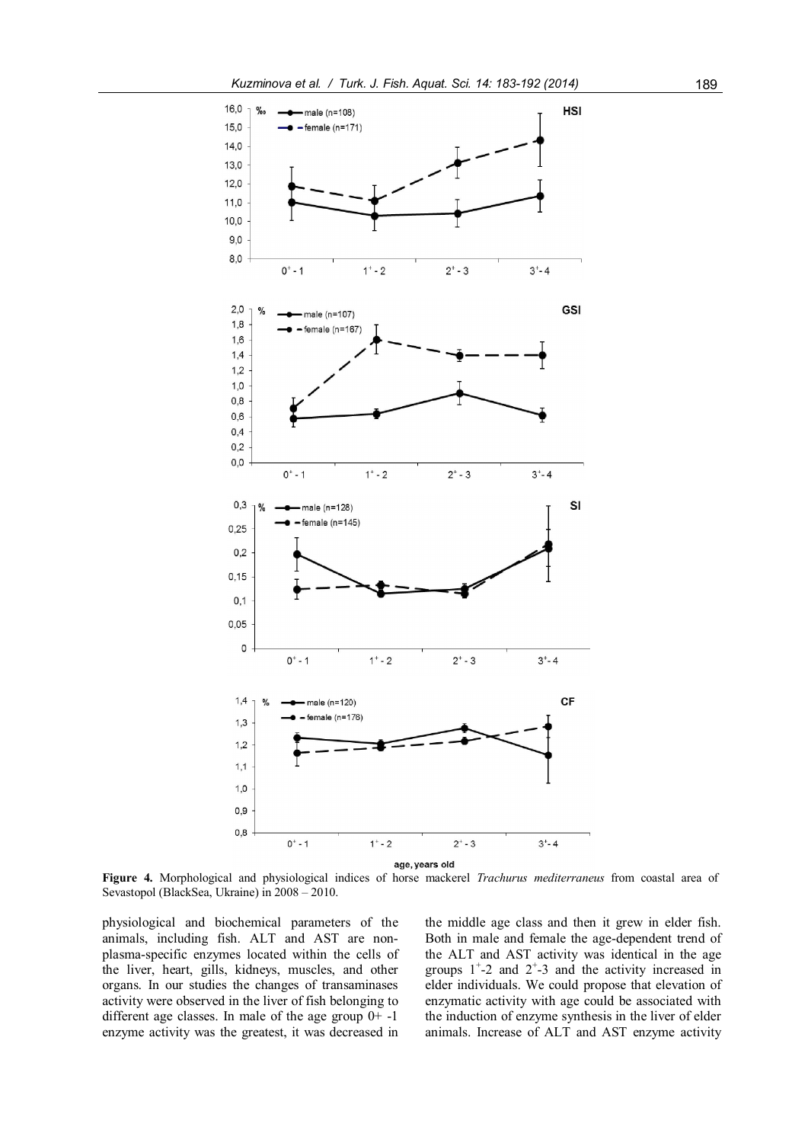

age, years old<br>Figure 4. Morphological and physiological indices of horse mackerel Trachurus mediterraneus from coastal area of Sevastopol (BlackSea, Ukraine) in 2008 – 2010.

physiological and biochemical parameters of the animals, including fish. ALT and AST are nonplasma-specific enzymes located within the cells of the liver, heart, gills, kidneys, muscles, and other organs. In our studies the changes of transaminases activity were observed in the liver of fish belonging to different age classes. In male of the age group  $0+$  -1 enzyme activity was the greatest, it was decreased in

the middle age class and then it grew in elder fish. Both in male and female the age-dependent trend of the ALT and AST activity was identical in the age groups  $1^{\text{+}}$ -2 and  $2^{\text{+}}$ -3 and the activity increased in elder individuals. We could propose that elevation of enzymatic activity with age could be associated with the induction of enzyme synthesis in the liver of elder animals. Increase of ALT and AST enzyme activity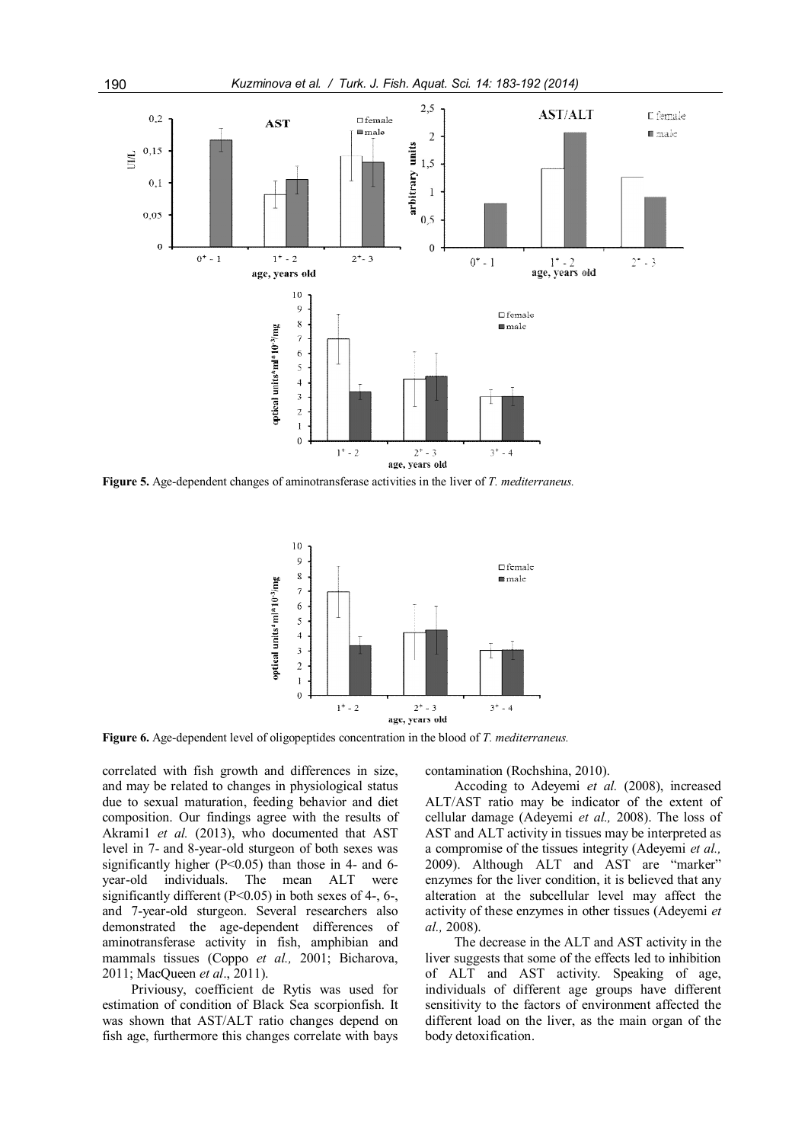

Figure 5. Age-dependent changes of aminotransferase activities in the liver of T. mediterraneus.



Figure 6. Age-dependent level of oligopeptides concentration in the blood of T. mediterraneus.

correlated with fish growth and differences in size, and may be related to changes in physiological status due to sexual maturation, feeding behavior and diet composition. Our findings agree with the results of Akrami1 et al. (2013), who documented that AST level in 7- and 8-year-old sturgeon of both sexes was significantly higher  $(P<0.05)$  than those in 4- and 6year-old individuals. The mean ALT were significantly different  $(P<0.05)$  in both sexes of 4-, 6-, and 7-year-old sturgeon. Several researchers also demonstrated the age-dependent differences of aminotransferase activity in fish, amphibian and mammals tissues (Coppo et al., 2001; Bicharova, 2011; MacQueen et al., 2011).

Priviousy, coefficient de Rytis was used for estimation of condition of Black Sea scorpionfish. It was shown that AST/ALT ratio changes depend on fish age, furthermore this changes correlate with bays contamination (Rochshina, 2010).

Accoding to Adeyemi et al. (2008), increased ALT/AST ratio may be indicator of the extent of cellular damage (Adeyemi et al., 2008). The loss of AST and ALT activity in tissues may be interpreted as a compromise of the tissues integrity (Adeyemi et al., 2009). Although ALT and AST are "marker" enzymes for the liver condition, it is believed that any alteration at the subcellular level may affect the activity of these enzymes in other tissues (Adeyemi et al., 2008).

The decrease in the ALT and AST activity in the liver suggests that some of the effects led to inhibition of ALT and AST activity. Speaking of age, individuals of different age groups have different sensitivity to the factors of environment affected the different load on the liver, as the main organ of the body detoxification.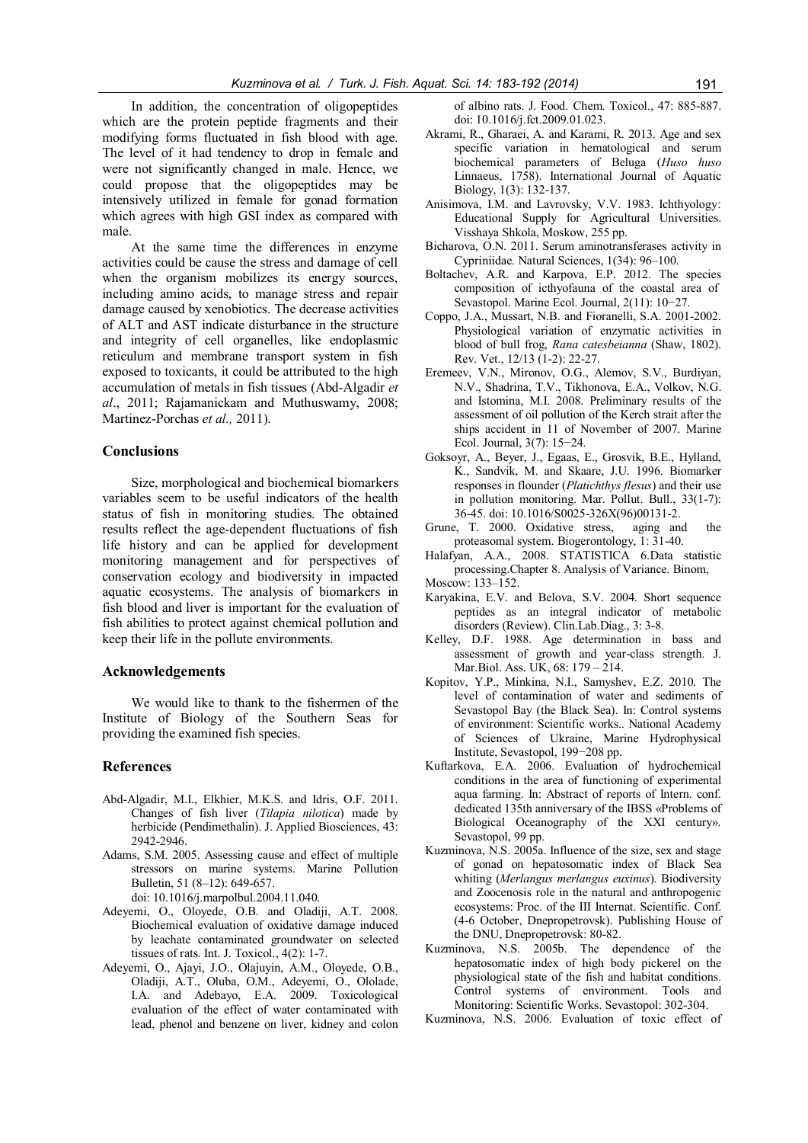In addition, the concentration of oligopeptides which are the protein peptide fragments and their modifying forms fluctuated in fish blood with age. The level of it had tendency to drop in female and were not significantly changed in male. Hence, we could propose that the oligopeptides may be intensively utilized in female for gonad formation which agrees with high GSI index as compared with male.

At the same time the differences in enzyme activities could be cause the stress and damage of cell when the organism mobilizes its energy sources, including amino acids, to manage stress and repair damage caused by xenobiotics. The decrease activities of ALT and AST indicate disturbance in the structure and integrity of cell organelles, like endoplasmic reticulum and membrane transport system in fish exposed to toxicants, it could be attributed to the high accumulation of metals in fish tissues (Abd-Algadir et al., 2011; Rajamanickam and Muthuswamy, 2008; Martinez-Porchas et al., 2011).

## **Conclusions**

Size, morphological and biochemical biomarkers variables seem to be useful indicators of the health status of fish in monitoring studies. The obtained results reflect the age-dependent fluctuations of fish life history and can be applied for development monitoring management and for perspectives of conservation ecology and biodiversity in impacted aquatic ecosystems. The analysis of biomarkers in fish blood and liver is important for the evaluation of fish abilities to protect against chemical pollution and keep their life in the pollute environments.

#### Acknowledgements

We would like to thank to the fishermen of the Institute of Biology of the Southern Seas for providing the examined fish species.

## References

- Abd-Algadir, M.I., Elkhier, M.K.S. and Idris, O.F. 2011. Changes of fish liver (Tilapia nilotica) made by herbicide (Pendimethalin). J. Applied Biosciences, 43: 2942-2946.
- Adams, S.M. 2005. Assessing cause and effect of multiple stressors on marine systems. Marine Pollution Bulletin, 51 (8–12): 649-657. doi: 10.1016/j.marpolbul.2004.11.040.
- Adeyemi, O., Oloyede, O.B. and Oladiji, A.T. 2008. Biochemical evaluation of oxidative damage induced by leachate contaminated groundwater on selected tissues of rats. Int. J. Toxicol., 4(2): 1-7.
- Adeyemi, O., Ajayi, J.O., Olajuyin, A.M., Oloyede, O.B., Oladiji, A.T., Oluba, O.M., Adeyemi, O., Ololade, I.A. and Adebayo, E.A. 2009. Toxicological evaluation of the effect of water contaminated with lead, phenol and benzene on liver, kidney and colon

of albino rats. J. Food. Chem. Toxicol., 47: 885-887. doi: 10.1016/j.fct.2009.01.023.

- Akrami, R., Gharaei, A. and Karami, R. 2013. Age and sex specific variation in hematological and serum biochemical parameters of Beluga (Huso huso Linnaeus, 1758). International Journal of Aquatic Biology, 1(3): 132-137.
- Anisimova, I.M. and Lavrovsky, V.V. 1983. Ichthyology: Educational Supply for Agricultural Universities. Visshaya Shkola, Moskow, 255 pp.
- Bicharova, O.N. 2011. Serum aminotransferases activity in Cypriniidae. Natural Sciences, 1(34): 96–100.
- Boltachev, A.R. and Karpova, E.P. 2012. The species composition of icthyofauna of the coastal area of Sevastopol. Marine Ecol. Journal, 2(11): 10−27.
- Coppo, J.A., Mussart, N.B. and Fioranelli, S.A. 2001-2002. Physiological variation of enzymatic activities in blood of bull frog, Rana catesbeianna (Shaw, 1802). Rev. Vet., 12/13 (1-2): 22-27.
- Eremeev, V.N., Mironov, O.G., Alemov, S.V., Burdiyan, N.V., Shadrina, T.V., Tikhonova, E.A., Volkov, N.G. and Istomina, M.I. 2008. Preliminary results of the assessment of oil pollution of the Kerch strait after the ships accident in 11 of November of 2007. Marine Ecol. Journal, 3(7): 15−24.
- Goksoyr, A., Beyer, J., Egaas, E., Grosvik, B.E., Hylland, K., Sandvik, M. and Skaare, J.U. 1996. Biomarker responses in flounder (Platichthys flesus) and their use in pollution monitoring. Mar. Pollut. Bull., 33(1-7): 36-45. doi: 10.1016/S0025-326X(96)00131-2.
- Grune, T. 2000. Oxidative stress, aging and the proteasomal system. Biogerontology, 1: 31-40.
- Halafyan, A.A., 2008. STATISTICA 6.Data statistic processing.Chapter 8. Analysis of Variance. Binom, Moscow: 133–152.
- Karyakina, E.V. and Belova, S.V. 2004. Short sequence peptides as an integral indicator of metabolic disorders (Review). Clin.Lab.Diag., 3: 3-8.
- Kelley, D.F. 1988. Age determination in bass and assessment of growth and year-class strength. J. Mar.Biol. Ass. UK, 68: 179 – 214.
- Kopitov, Y.P., Minkina, N.I., Samyshev, E.Z. 2010. The level of contamination of water and sediments of Sevastopol Bay (the Black Sea). In: Control systems of environment: Scientific works.. National Academy of Sciences of Ukraine, Marine Hydrophysical Institute, Sevastopol, 199−208 pp.
- Kuftarkova, E.A. 2006. Evaluation of hydrochemical conditions in the area of functioning of experimental aqua farming. In: Abstract of reports of Intern. conf. dedicated 135th anniversary of the IBSS «Problems of Biological Oceanography of the XXI century». Sevastopol, 99 pp.
- Kuzminova, N.S. 2005a. Influence of the size, sex and stage of gonad on hepatosomatic index of Black Sea whiting (Merlangus merlangus euxinus). Biodiversity and Zoocenosis role in the natural and anthropogenic ecosystems: Proc. of the III Internat. Scientific. Conf. (4-6 October, Dnepropetrovsk). Publishing House of the DNU, Dnepropetrovsk: 80-82.
- Kuzminova, N.S. 2005b. The dependence of the hepatosomatic index of high body pickerel on the physiological state of the fish and habitat conditions. Control systems of environment. Tools and Monitoring: Scientific Works. Sevastopol: 302-304.
- Kuzminova, N.S. 2006. Evaluation of toxic effect of